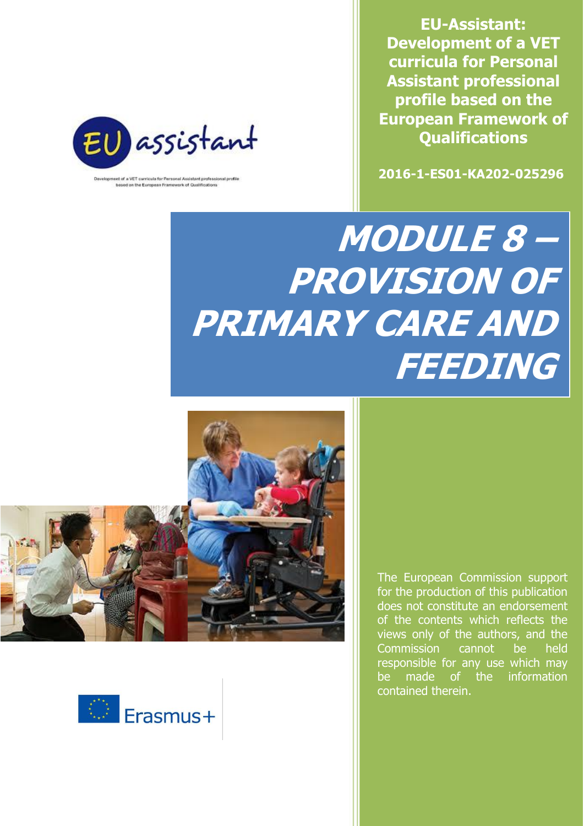**EU-Assistant: Development of a VET curricula for Personal Assistant professional profile based on the European Framework of Qualifications**





of a VET curricula for Personal Assistant professional prof based on the European Framework of Qualifications

# **MODULE 8 – PROVISION OF PRIMARY CARE AND FEEDING**





The European Commission support for the production of this publication does not constitute an endorsement of the contents which reflects the views only of the authors, and the Commission cannot be held responsible for any use which may be made of the information contained therein.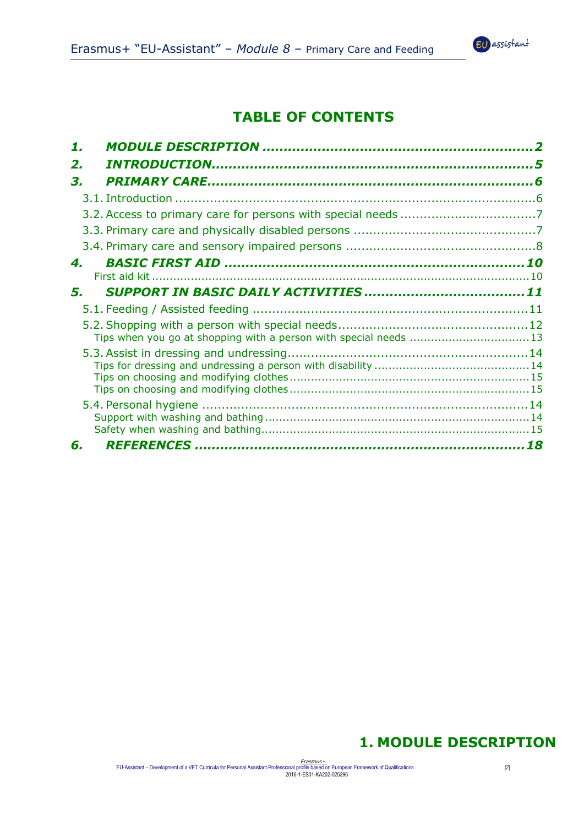

# **TABLE OF CONTENTS**

| 1. |                                                                  |  |
|----|------------------------------------------------------------------|--|
| 2. |                                                                  |  |
| З. |                                                                  |  |
|    |                                                                  |  |
|    |                                                                  |  |
|    |                                                                  |  |
|    |                                                                  |  |
| 4. |                                                                  |  |
|    |                                                                  |  |
| 5. |                                                                  |  |
|    |                                                                  |  |
|    |                                                                  |  |
|    | Tips when you go at shopping with a person with special needs 13 |  |
|    |                                                                  |  |
|    |                                                                  |  |
|    |                                                                  |  |
|    |                                                                  |  |
|    |                                                                  |  |
|    |                                                                  |  |
| 6. |                                                                  |  |
|    |                                                                  |  |

## **1. MODULE DESCRIPTION**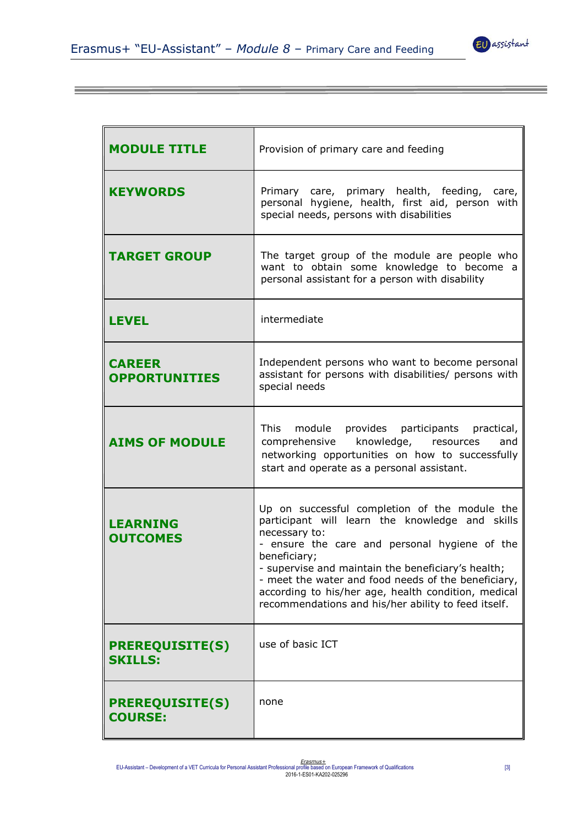

| <b>MODULE TITLE</b>                      | Provision of primary care and feeding                                                                                                                                                                                                                                                                                                                                                                         |
|------------------------------------------|---------------------------------------------------------------------------------------------------------------------------------------------------------------------------------------------------------------------------------------------------------------------------------------------------------------------------------------------------------------------------------------------------------------|
| <b>KEYWORDS</b>                          | Primary care, primary health, feeding, care,<br>personal hygiene, health, first aid, person with<br>special needs, persons with disabilities                                                                                                                                                                                                                                                                  |
| <b>TARGET GROUP</b>                      | The target group of the module are people who<br>want to obtain some knowledge to become a<br>personal assistant for a person with disability                                                                                                                                                                                                                                                                 |
| <b>LEVEL</b>                             | intermediate                                                                                                                                                                                                                                                                                                                                                                                                  |
| <b>CAREER</b><br><b>OPPORTUNITIES</b>    | Independent persons who want to become personal<br>assistant for persons with disabilities/ persons with<br>special needs                                                                                                                                                                                                                                                                                     |
| <b>AIMS OF MODULE</b>                    | This module provides participants practical,<br>comprehensive knowledge, resources<br>and<br>networking opportunities on how to successfully<br>start and operate as a personal assistant.                                                                                                                                                                                                                    |
| <b>LEARNING</b><br><b>OUTCOMES</b>       | Up on successful completion of the module the<br>participant will learn the knowledge and skills<br>necessary to:<br>- ensure the care and personal hygiene of the<br>beneficiary;<br>- supervise and maintain the beneficiary's health;<br>- meet the water and food needs of the beneficiary,<br>according to his/her age, health condition, medical<br>recommendations and his/her ability to feed itself. |
| <b>PREREQUISITE(S)</b><br><b>SKILLS:</b> | use of basic ICT                                                                                                                                                                                                                                                                                                                                                                                              |
| <b>PREREQUISITE(S)</b><br><b>COURSE:</b> | none                                                                                                                                                                                                                                                                                                                                                                                                          |

Era*smus*±<br>[3] EU-Assistant – Development of a VET Curricula for Personal Assistant Professional profile based on European Framework of Qualifications<br>2016-1-ES01-KA202-025296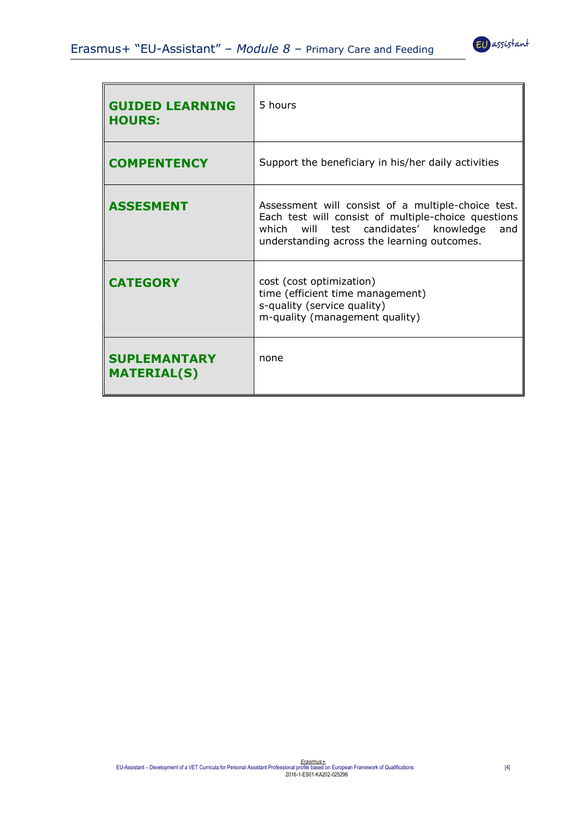

| <b>GUIDED LEARNING</b><br><b>HOURS:</b>   | 5 hours                                                                                                                                                                                                  |
|-------------------------------------------|----------------------------------------------------------------------------------------------------------------------------------------------------------------------------------------------------------|
| <b>COMPENTENCY</b>                        | Support the beneficiary in his/her daily activities                                                                                                                                                      |
| <b>ASSESMENT</b>                          | Assessment will consist of a multiple-choice test.<br>Each test will consist of multiple-choice questions<br>which will test candidates' knowledge<br>and<br>understanding across the learning outcomes. |
| <b>CATEGORY</b>                           | cost (cost optimization)<br>time (efficient time management)<br>s-quality (service quality)<br>m-quality (management quality)                                                                            |
| <b>SUPLEMANTARY</b><br><b>MATERIAL(S)</b> | none                                                                                                                                                                                                     |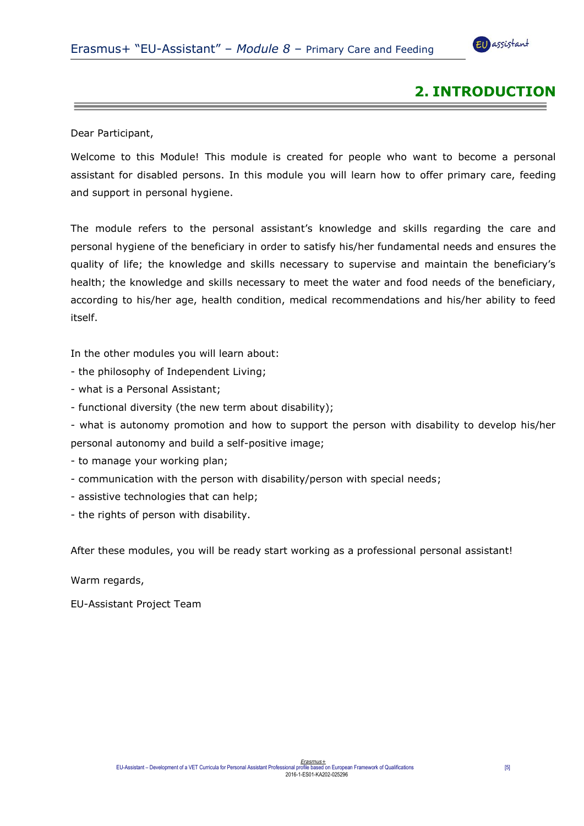<u> 1989 - Johann Stein, markin sanat masjid asl a shekara ta 1989 - An tsarat masjid asl a shekara ta 1989 - An</u>



# **2. INTRODUCTION**

Dear Participant,

Welcome to this Module! This module is created for people who want to become a personal assistant for disabled persons. In this module you will learn how to offer primary care, feeding and support in personal hygiene.

The module refers to the personal assistant's knowledge and skills regarding the care and personal hygiene of the beneficiary in order to satisfy his/her fundamental needs and ensures the quality of life; the knowledge and skills necessary to supervise and maintain the beneficiary's health; the knowledge and skills necessary to meet the water and food needs of the beneficiary, according to his/her age, health condition, medical recommendations and his/her ability to feed itself.

In the other modules you will learn about:

- the philosophy of Independent Living;
- what is a Personal Assistant;
- functional diversity (the new term about disability);
- what is autonomy promotion and how to support the person with disability to develop his/her personal autonomy and build a self-positive image;
- to manage your working plan;
- communication with the person with disability/person with special needs;
- assistive technologies that can help;
- the rights of person with disability.

After these modules, you will be ready start working as a professional personal assistant!

Warm regards,

EU-Assistant Project Team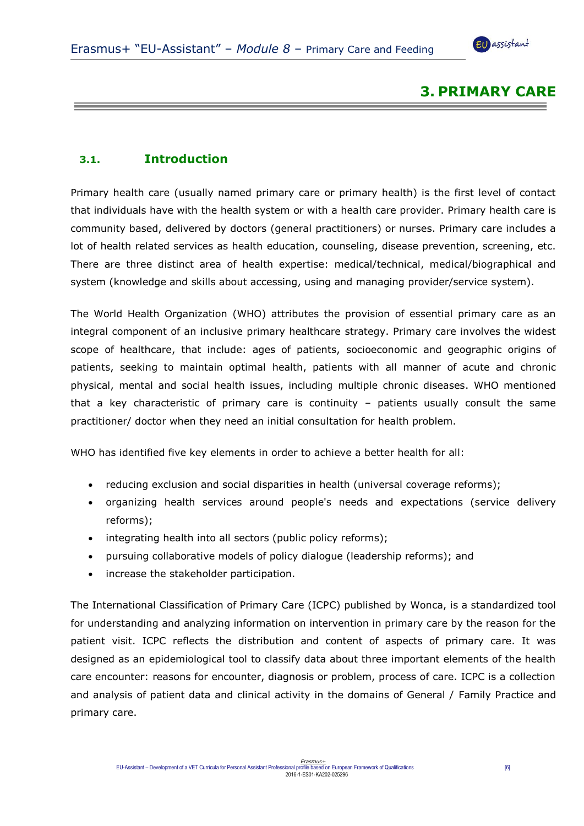the contract of the contract of the contract of the contract of the contract of the contract of the contract of



## **3. PRIMARY CARE**

## <span id="page-5-0"></span>**3.1. Introduction**

Primary health care (usually named primary care or primary health) is the first level of contact that individuals have with the health system or with a health care provider. Primary health care is community based, delivered by doctors (general practitioners) or nurses. Primary care includes a lot of health related services as health education, counseling, disease prevention, screening, etc. There are three distinct area of health expertise: medical/technical, medical/biographical and system (knowledge and skills about accessing, using and managing provider/service system).

The [World Health Organization](https://en.wikipedia.org/wiki/World_Health_Organization) (WHO) attributes the provision of essential primary care as an integral component of an inclusive [primary healthcare](https://en.wikipedia.org/wiki/Primary_healthcare) strategy. Primary care involves the widest scope of healthcare, that include: ages of patients, [socioeconomic](https://en.wikipedia.org/wiki/Socioeconomic) and geographic origins of patients, seeking to maintain optimal [health,](https://en.wikipedia.org/wiki/Health) patients with all manner of acute and chronic physical, [mental](https://en.wikipedia.org/wiki/Mental_health) and social health issues, including [multiple chronic diseases.](https://en.wikipedia.org/wiki/Polypharmacy) WHO mentioned that a key characteristic of primary care is continuity – patients usually consult the same practitioner/ doctor when they need an initial consultation for health problem.

WHO has identified five key elements in order to achieve a better health for all:

- reducing exclusion and social disparities in health (universal coverage reforms);
- organizing health services around people's needs and expectations (service delivery reforms);
- integrating health into all sectors (public policy reforms);
- pursuing collaborative models of policy dialogue (leadership reforms); and
- increase the stakeholder participation.

The International Classification of Primary Care (ICPC) published by Wonca, is a standardized tool for understanding and analyzing information on intervention in primary care by the reason for the patient visit. ICPC reflects the distribution and content of aspects of primary care. It was designed as an epidemiological tool to classify data about three important elements of the health care encounter: reasons for encounter, diagnosis or problem, process of care. ICPC is a collection and analysis of patient data and clinical activity in the domains of General / Family Practice and primary care.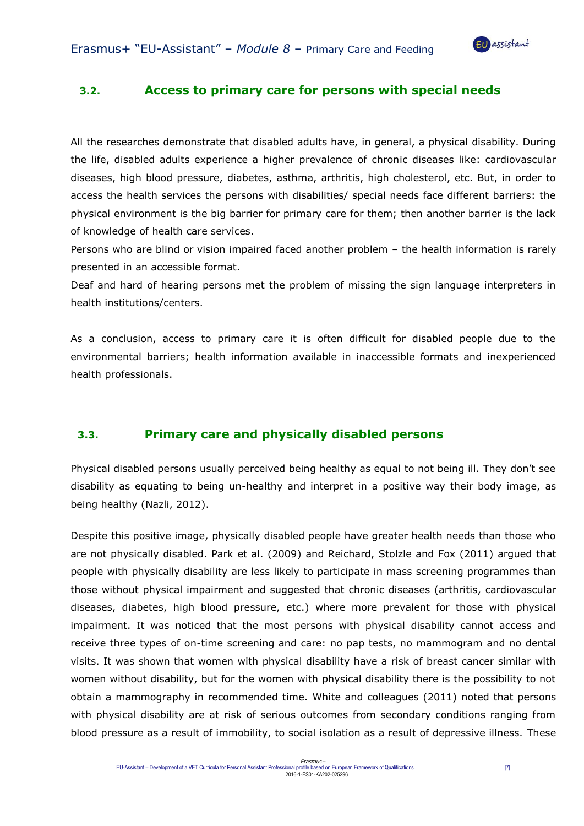

#### <span id="page-6-0"></span>**3.2. Access to primary care for persons with special needs**

All the researches demonstrate that disabled adults have, in general, a physical disability. During the life, disabled adults experience a higher prevalence of chronic diseases like: cardiovascular diseases, high blood pressure, diabetes, asthma, arthritis, high cholesterol, etc. But, in order to access the health services the persons with disabilities/ special needs face different barriers: the physical environment is the big barrier for primary care for them; then another barrier is the lack of knowledge of health care services.

Persons who are blind or vision impaired faced another problem – the health information is rarely presented in an accessible format.

Deaf and hard of hearing persons met the problem of missing the sign language interpreters in health institutions/centers.

As a conclusion, access to primary care it is often difficult for disabled people due to the environmental barriers; health information available in inaccessible formats and inexperienced health professionals.

## <span id="page-6-1"></span>**3.3. Primary care and physically disabled persons**

Physical disabled persons usually perceived being healthy as equal to not being ill. They don't see disability as equating to being un-healthy and interpret in a positive way their body image, as being healthy (Nazli, 2012).

Despite this positive image, physically disabled people have greater health needs than those who are not physically disabled. Park et al. (2009) and Reichard, Stolzle and Fox (2011) argued that people with physically disability are less likely to participate in mass screening programmes than those without physical impairment and suggested that chronic diseases (arthritis, cardiovascular diseases, diabetes, high blood pressure, etc.) where more prevalent for those with physical impairment. It was noticed that the most persons with physical disability cannot access and receive three types of on-time screening and care: no pap tests, no mammogram and no dental visits. It was shown that women with physical disability have a risk of breast cancer similar with women without disability, but for the women with physical disability there is the possibility to not obtain a mammography in recommended time. White and colleagues (2011) noted that persons with physical disability are at risk of serious outcomes from secondary conditions ranging from blood pressure as a result of immobility, to social isolation as a result of depressive illness. These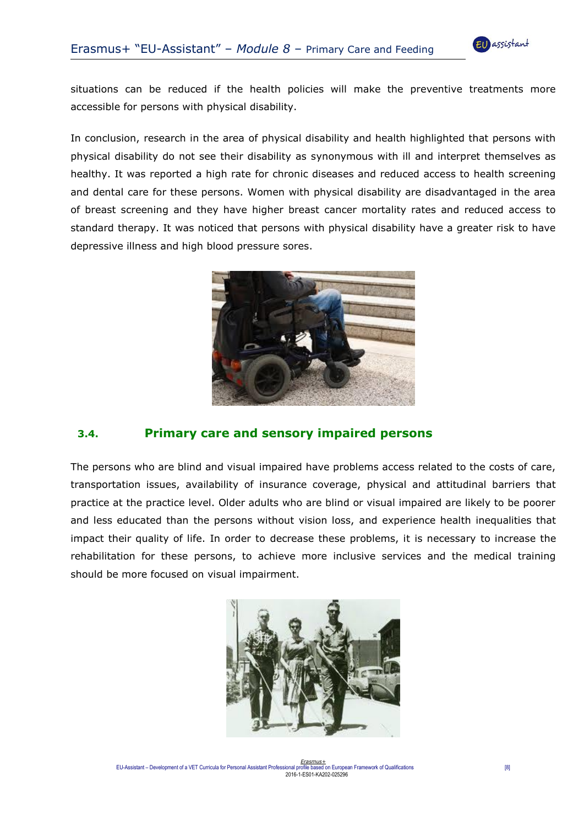situations can be reduced if the health policies will make the preventive treatments more accessible for persons with physical disability.

In conclusion, research in the area of physical disability and health highlighted that persons with physical disability do not see their disability as synonymous with ill and interpret themselves as healthy. It was reported a high rate for chronic diseases and reduced access to health screening and dental care for these persons. Women with physical disability are disadvantaged in the area of breast screening and they have higher breast cancer mortality rates and reduced access to standard therapy. It was noticed that persons with physical disability have a greater risk to have depressive illness and high blood pressure sores.



## <span id="page-7-0"></span>**3.4. Primary care and sensory impaired persons**

The persons who are blind and visual impaired have problems access related to the costs of care, transportation issues, availability of insurance coverage, physical and attitudinal barriers that practice at the practice level. Older adults who are blind or visual impaired are likely to be poorer and less educated than the persons without vision loss, and experience health inequalities that impact their quality of life. In order to decrease these problems, it is necessary to increase the rehabilitation for these persons, to achieve more inclusive services and the medical training should be more focused on visual impairment.

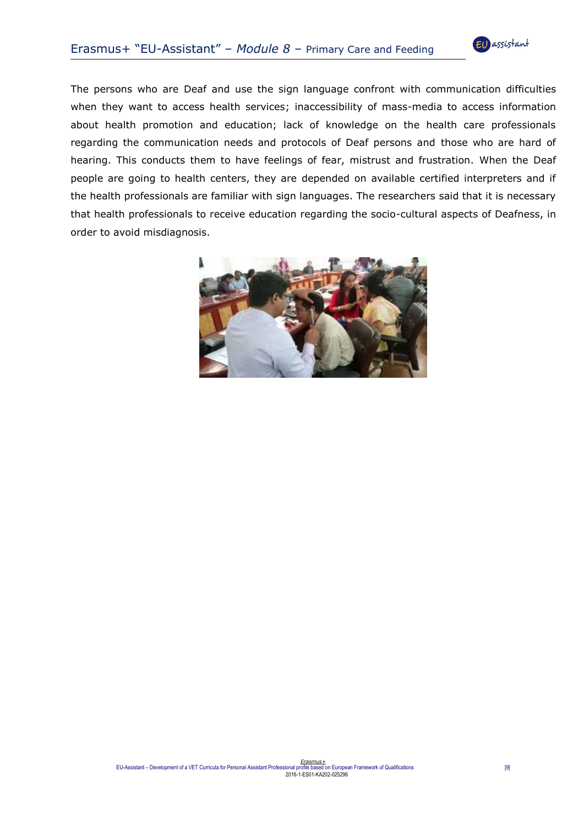

The persons who are Deaf and use the sign language confront with communication difficulties when they want to access health services; inaccessibility of mass-media to access information about health promotion and education; lack of knowledge on the health care professionals regarding the communication needs and protocols of Deaf persons and those who are hard of hearing. This conducts them to have feelings of fear, mistrust and frustration. When the Deaf people are going to health centers, they are depended on available certified interpreters and if the health professionals are familiar with sign languages. The researchers said that it is necessary that health professionals to receive education regarding the socio-cultural aspects of Deafness, in order to avoid misdiagnosis.

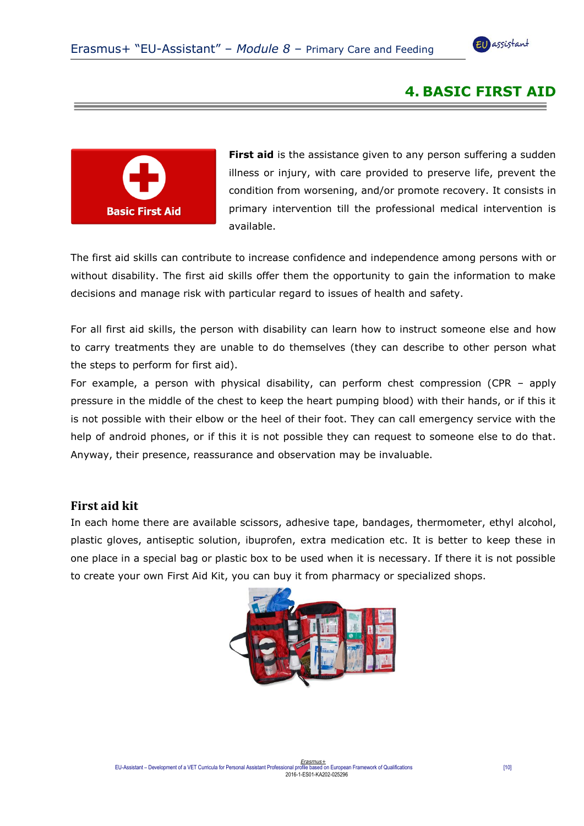<u> Liston de la contrada de la contrada de la contrada de la contrada de la contrada de la contrada de la contra</u>



## **4. BASIC FIRST AID**



**First aid** is the assistance given to any person suffering a sudden [illness](https://en.wikipedia.org/wiki/Illness) or [injury,](https://en.wikipedia.org/wiki/Injury) with care provided to preserve life, prevent the condition from worsening, and/or promote recovery. It consists in primary intervention till the professional medical intervention is available.

The first aid skills can contribute to increase confidence and independence among persons with or without disability. The first aid skills offer them the opportunity to gain the information to make decisions and manage risk with particular regard to issues of health and safety.

For all first aid skills, the person with disability can learn how to instruct someone else and how to carry treatments they are unable to do themselves (they can describe to other person what the steps to perform for first aid).

For example, a person with physical disability, can perform chest compression (CPR – apply pressure in the middle of the chest to keep the heart pumping blood) with their hands, or if this it is not possible with their elbow or the heel of their foot. They can call emergency service with the help of android phones, or if this it is not possible they can request to someone else to do that. Anyway, their presence, reassurance and observation may be invaluable.

#### <span id="page-9-0"></span>**First aid kit**

In each home there are available scissors, adhesive tape, bandages, thermometer, ethyl alcohol, plastic gloves, antiseptic solution, ibuprofen, extra medication etc. It is better to keep these in one place in a special bag or plastic box to be used when it is necessary. If there it is not possible to create your own First Aid Kit, you can buy it from pharmacy or specialized shops.

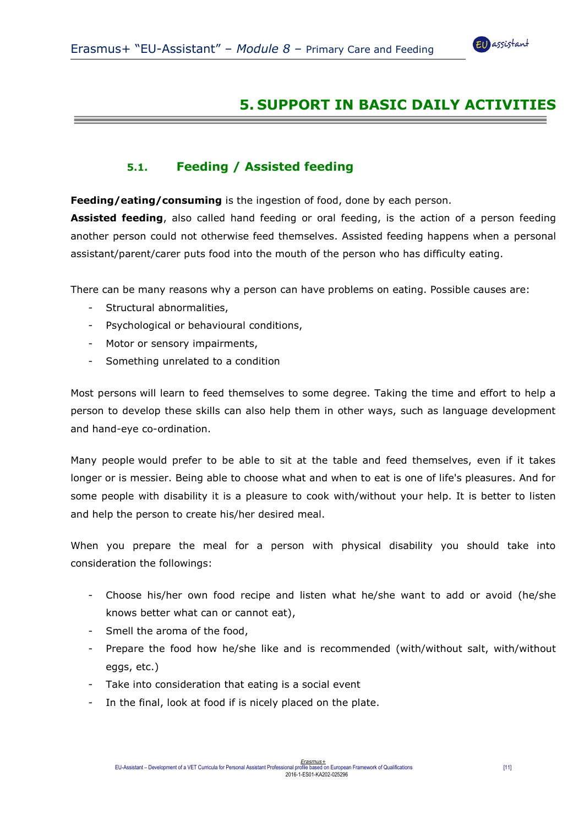

# **5. SUPPORT IN BASIC DAILY ACTIVITIES**

## **5.1. Feeding / Assisted feeding**

<span id="page-10-0"></span>**Feeding/eating/consuming** is the ingestion of food, done by each person.

**Assisted feeding**, also called hand feeding or oral feeding, is the action of a person feeding another person could not otherwise feed themselves. Assisted feeding happens when a personal assistant/parent/carer puts food into the mouth of the person who has difficulty eating.

There can be many reasons why a person can have problems on eating. Possible causes are:

- Structural abnormalities,
- Psychological or behavioural conditions,
- Motor or sensory impairments,
- Something unrelated to a condition

Most persons will learn to feed themselves to some degree. Taking the time and effort to help a person to develop these skills can also help them in other ways, such as language development and hand-eye co-ordination.

Many people would prefer to be able to sit at the table and feed themselves, even if it takes longer or is messier. Being able to choose what and when to eat is one of life's pleasures. And for some people with disability it is a pleasure to cook with/without your help. It is better to listen and help the person to create his/her desired meal.

When you prepare the meal for a person with physical disability you should take into consideration the followings:

- Choose his/her own food recipe and listen what he/she want to add or avoid (he/she knows better what can or cannot eat),
- Smell the aroma of the food,
- Prepare the food how he/she like and is recommended (with/without salt, with/without eggs, etc.)
- Take into consideration that eating is a social event
- In the final, look at food if is nicely placed on the plate.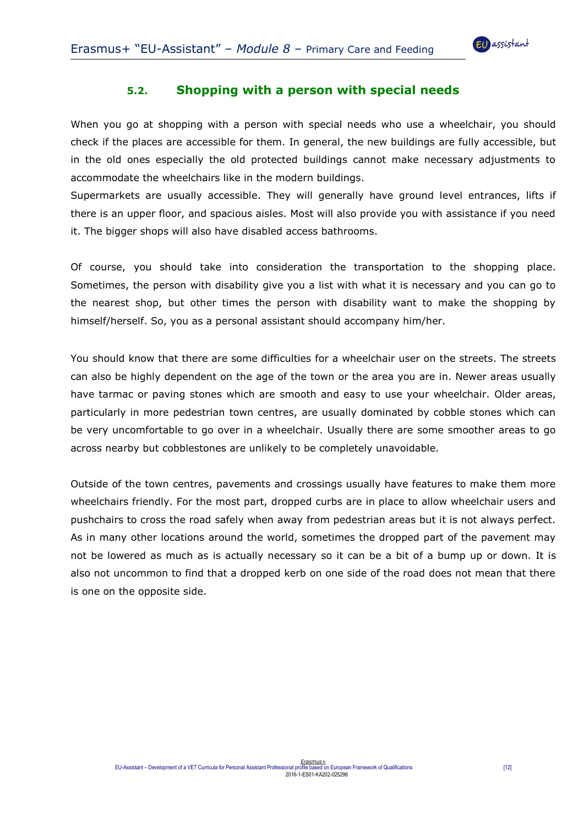

#### **5.2. Shopping with a person with special needs**

<span id="page-11-0"></span>When you go at shopping with a person with special needs who use a wheelchair, you should check if the places are accessible for them. In general, the new buildings are fully accessible, but in the old ones especially the old protected buildings cannot make necessary adjustments to accommodate the wheelchairs like in the modern buildings.

Supermarkets are usually accessible. They will generally have ground level entrances, lifts if there is an upper floor, and spacious aisles. Most will also provide you with assistance if you need it. The bigger shops will also have disabled access bathrooms.

Of course, you should take into consideration the transportation to the shopping place. Sometimes, the person with disability give you a list with what it is necessary and you can go to the nearest shop, but other times the person with disability want to make the shopping by himself/herself. So, you as a personal assistant should accompany him/her.

You should know that there are some difficulties for a wheelchair user on the streets. The streets can also be highly dependent on the age of the town or the area you are in. Newer areas usually have tarmac or paving stones which are smooth and easy to use your wheelchair. Older areas, particularly in more pedestrian town centres, are usually dominated by cobble stones which can be very uncomfortable to go over in a wheelchair. Usually there are some smoother areas to go across nearby but cobblestones are unlikely to be completely unavoidable.

Outside of the town centres, pavements and crossings usually have features to make them more wheelchairs friendly. For the most part, dropped curbs are in place to allow wheelchair users and pushchairs to cross the road safely when away from pedestrian areas but it is not always perfect. As in many other locations around the world, sometimes the dropped part of the pavement may not be lowered as much as is actually necessary so it can be a bit of a bump up or down. It is also not uncommon to find that a dropped kerb on one side of the road does not mean that there is one on the opposite side.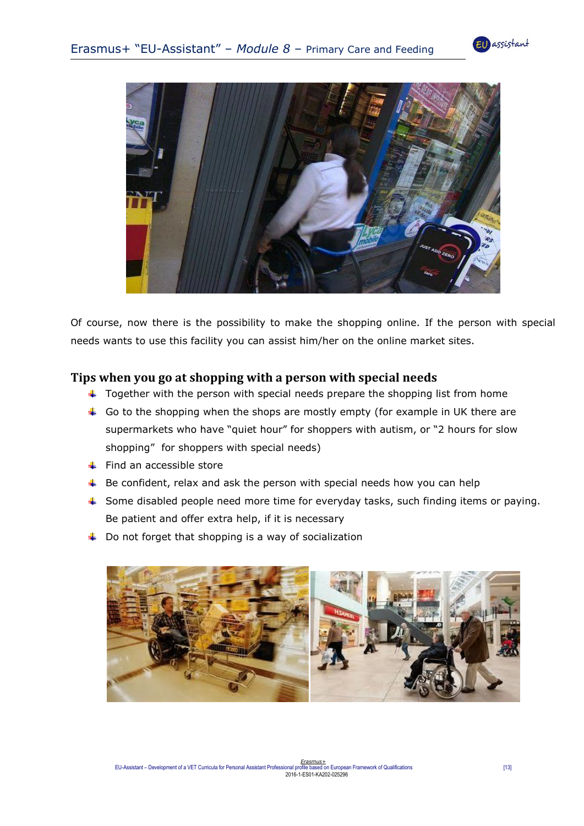



Of course, now there is the possibility to make the shopping online. If the person with special needs wants to use this facility you can assist him/her on the online market sites.

#### <span id="page-12-0"></span>**Tips when you go at shopping with a person with special needs**

- $\ddot{\phantom{1}}$  Together with the person with special needs prepare the shopping list from home
- Go to the shopping when the shops are mostly empty (for example in UK there are supermarkets who have "quiet hour" for shoppers with autism, or "2 hours for slow shopping" for shoppers with special needs)
- $\leftarrow$  Find an accessible store
- $\ddot{+}$  Be confident, relax and ask the person with special needs how you can help
- ↓ Some disabled people need more time for everyday tasks, such finding items or paying. Be patient and offer extra help, if it is necessary
- $\downarrow$  Do not forget that shopping is a way of socialization

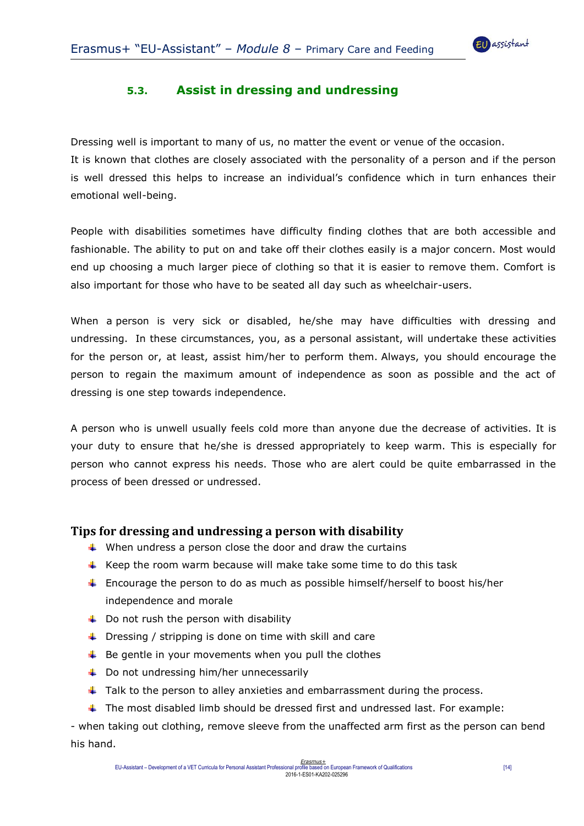

## **5.3. Assist in dressing and undressing**

<span id="page-13-0"></span>Dressing well is important to many of us, no matter the event or venue of the occasion.

It is known that clothes are closely associated with the personality of a person and if the person is well dressed this helps to increase an individual's confidence which in turn enhances their emotional well-being.

People with disabilities sometimes have difficulty finding clothes that are both accessible and fashionable. The ability to put on and take off their clothes easily is a major concern. Most would end up choosing a much larger piece of clothing so that it is easier to remove them. Comfort is also important for those who have to be seated all day such as wheelchair-users.

When a person is very sick or disabled, he/she may have difficulties with dressing and undressing. In these circumstances, you, as a personal assistant, will undertake these activities for the person or, at least, assist him/her to perform them. Always, you should encourage the person to regain the maximum amount of independence as soon as possible and the act of dressing is one step towards independence.

A person who is unwell usually feels cold more than anyone due the decrease of activities. It is your duty to ensure that he/she is dressed appropriately to keep warm. This is especially for person who cannot express his needs. Those who are alert could be quite embarrassed in the process of been dressed or undressed.

#### <span id="page-13-1"></span>**Tips for dressing and undressing a person with disability**

- $\uparrow$  When undress a person close the door and draw the curtains
- Keep the room warm because will make take some time to do this task
- **Encourage the person to do as much as possible himself/herself to boost his/her** independence and morale
- $\downarrow$  Do not rush the person with disability
- $\downarrow$  Dressing / stripping is done on time with skill and care
- $\frac{1}{2}$  Be gentle in your movements when you pull the clothes
- $\downarrow$  Do not undressing him/her unnecessarily
- $\ddot{\phantom{1}}$  Talk to the person to alley anxieties and embarrassment during the process.
- $\ddot{\phantom{1}}$  The most disabled limb should be dressed first and undressed last. For example:

- when taking out clothing, remove sleeve from the unaffected arm first as the person can bend his hand.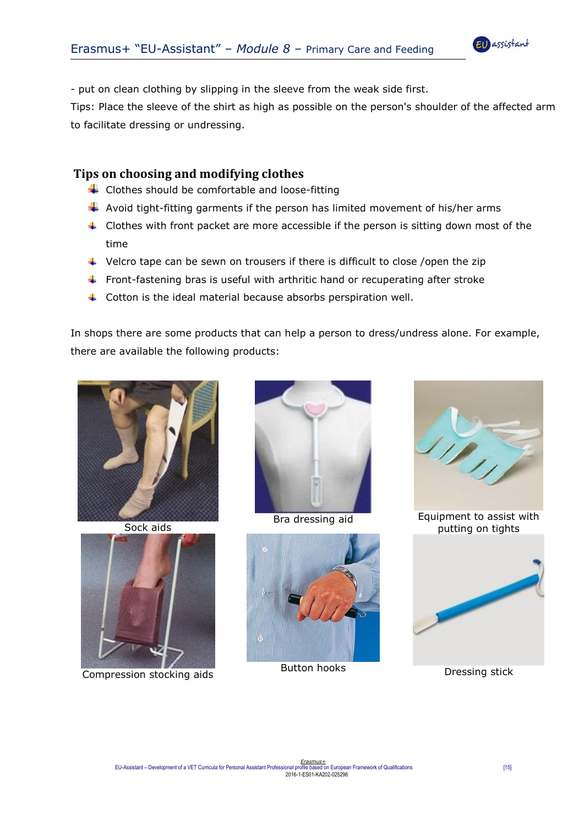

- put on clean clothing by slipping in the sleeve from the weak side first.

Tips: Place the sleeve of the shirt as high as possible on the person's shoulder of the affected arm to facilitate dressing or undressing.

#### <span id="page-14-0"></span>**Tips on choosing and modifying clothes**

- $\bigstar$  Clothes should be comfortable and loose-fitting
- $\ddot{*}$  Avoid tight-fitting garments if the person has limited movement of his/her arms
- $\downarrow$  Clothes with front packet are more accessible if the person is sitting down most of the time
- $\downarrow$  Velcro tape can be sewn on trousers if there is difficult to close /open the zip
- **Front-fastening bras is useful with arthritic hand or recuperating after stroke**
- $\ddot{\phantom{1}}$  Cotton is the ideal material because absorbs perspiration well.

In shops there are some products that can help a person to dress/undress alone. For example, there are available the following products:



Sock aids



**Compression stocking aids** Button hooks **Discussion** Button hooks **Discussing State** 







Bra dressing aid **Equipment to assist with** putting on tights

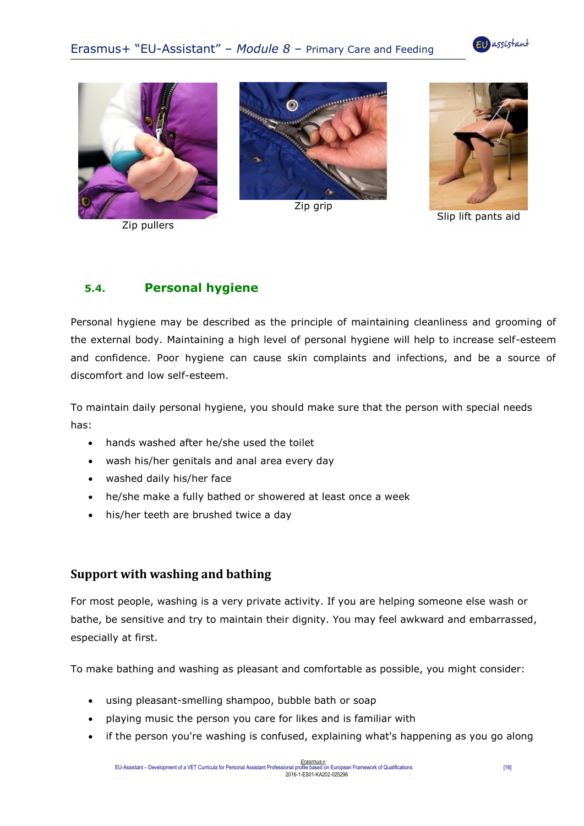



Zip pullers



Zip grip



Slip lift pants aid

## **5.4. Personal hygiene**

Personal hygiene may be described as the principle of maintaining cleanliness and grooming of the external body. Maintaining a high level of personal hygiene will help to increase self-esteem and confidence. Poor hygiene can cause skin complaints and infections, and be a source of discomfort and low self-esteem.

To maintain daily personal hygiene, you should make sure that the person with special needs has:

- hands washed after he/she used the toilet
- wash his/her genitals and anal area every day
- washed daily his/her face
- he/she make a fully bathed or showered at least once a week
- his/her teeth are brushed twice a day

## **Support with washing and bathing**

For most people, washing is a very private activity. If you are helping someone else wash or bathe, be sensitive and try to maintain their dignity. You may feel awkward and embarrassed, especially at first.

To make bathing and washing as pleasant and comfortable as possible, you might consider:

- using pleasant-smelling shampoo, bubble bath or soap
- playing music the person you care for likes and is familiar with
- if the person you're washing is confused, explaining what's happening as you go along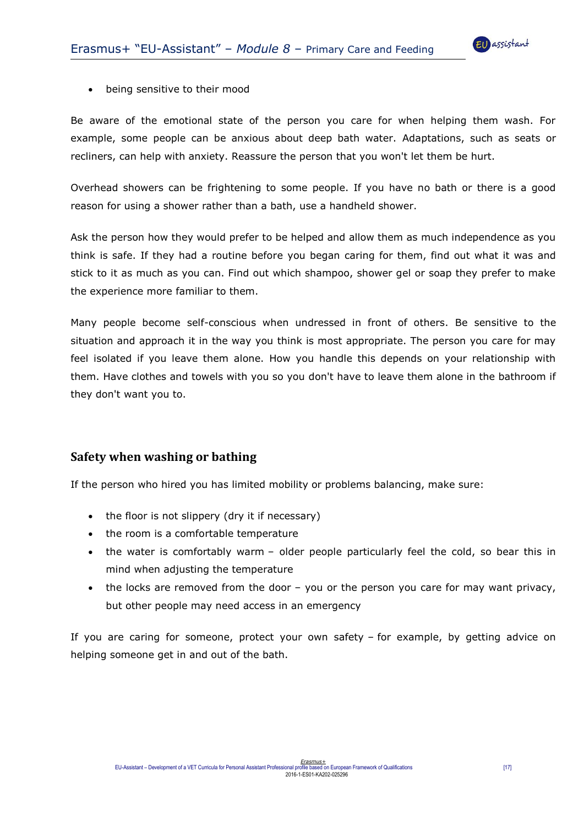

#### being sensitive to their mood

Be aware of the emotional state of the person you care for when helping them wash. For example, some people can be anxious about deep bath water. [Adaptations,](http://www.nhs.uk/Conditions/social-care-and-support-guide/Pages/equipment-aids-adaptations.aspx) such as seats or recliners, can help with anxiety. Reassure the person that you won't let them be hurt.

Overhead showers can be frightening to some people. If you have no bath or there is a good reason for using a shower rather than a bath, use a handheld shower.

Ask the person how they would prefer to be helped and allow them as much independence as you think is safe. If they had a routine before you began caring for them, find out what it was and stick to it as much as you can. Find out which shampoo, shower gel or soap they prefer to make the experience more familiar to them.

Many people become self-conscious when undressed in front of others. Be sensitive to the situation and approach it in the way you think is most appropriate. The person you care for may feel isolated if you leave them alone. How you handle this depends on your relationship with them. Have clothes and towels with you so you don't have to leave them alone in the bathroom if they don't want you to.

## **Safety when washing or bathing**

If the person who hired you has limited mobility or problems balancing, make sure:

- the floor is not slippery (dry it if necessary)
- the room is a comfortable temperature
- the water is comfortably warm older people particularly feel the cold, so bear this in mind when adjusting the temperature
- the locks are removed from the door you or the person you care for may want privacy, but other people may need access in an emergency

If you are caring for someone, protect your own safety – for example, by getting advice on helping someone get in and out of the bath.